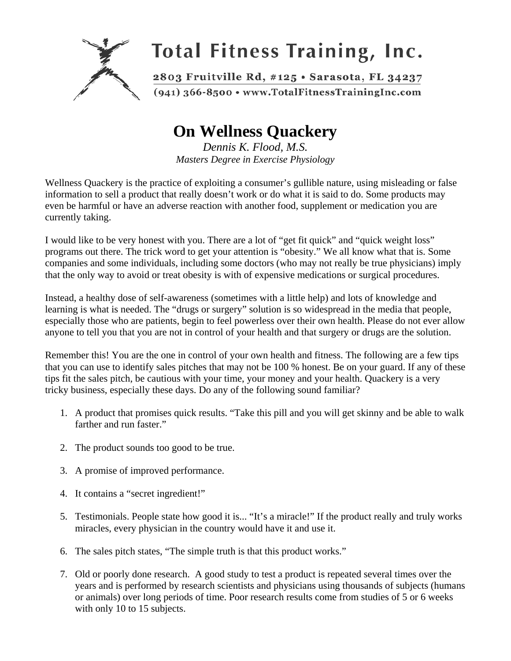

## **On Wellness Quackery**

*Dennis K. Flood, M.S. Masters Degree in Exercise Physiology* 

Wellness Quackery is the practice of exploiting a consumer's gullible nature, using misleading or false information to sell a product that really doesn't work or do what it is said to do. Some products may even be harmful or have an adverse reaction with another food, supplement or medication you are currently taking.

I would like to be very honest with you. There are a lot of "get fit quick" and "quick weight loss" programs out there. The trick word to get your attention is "obesity." We all know what that is. Some companies and some individuals, including some doctors (who may not really be true physicians) imply that the only way to avoid or treat obesity is with of expensive medications or surgical procedures.

Instead, a healthy dose of self-awareness (sometimes with a little help) and lots of knowledge and learning is what is needed. The "drugs or surgery" solution is so widespread in the media that people, especially those who are patients, begin to feel powerless over their own health. Please do not ever allow anyone to tell you that you are not in control of your health and that surgery or drugs are the solution.

Remember this! You are the one in control of your own health and fitness. The following are a few tips that you can use to identify sales pitches that may not be 100 % honest. Be on your guard. If any of these tips fit the sales pitch, be cautious with your time, your money and your health. Quackery is a very tricky business, especially these days. Do any of the following sound familiar?

- 1. A product that promises quick results. "Take this pill and you will get skinny and be able to walk farther and run faster."
- 2. The product sounds too good to be true.
- 3. A promise of improved performance.
- 4. It contains a "secret ingredient!"
- 5. Testimonials. People state how good it is... "It's a miracle!" If the product really and truly works miracles, every physician in the country would have it and use it.
- 6. The sales pitch states, "The simple truth is that this product works."
- 7. Old or poorly done research. A good study to test a product is repeated several times over the years and is performed by research scientists and physicians using thousands of subjects (humans or animals) over long periods of time. Poor research results come from studies of 5 or 6 weeks with only 10 to 15 subjects.